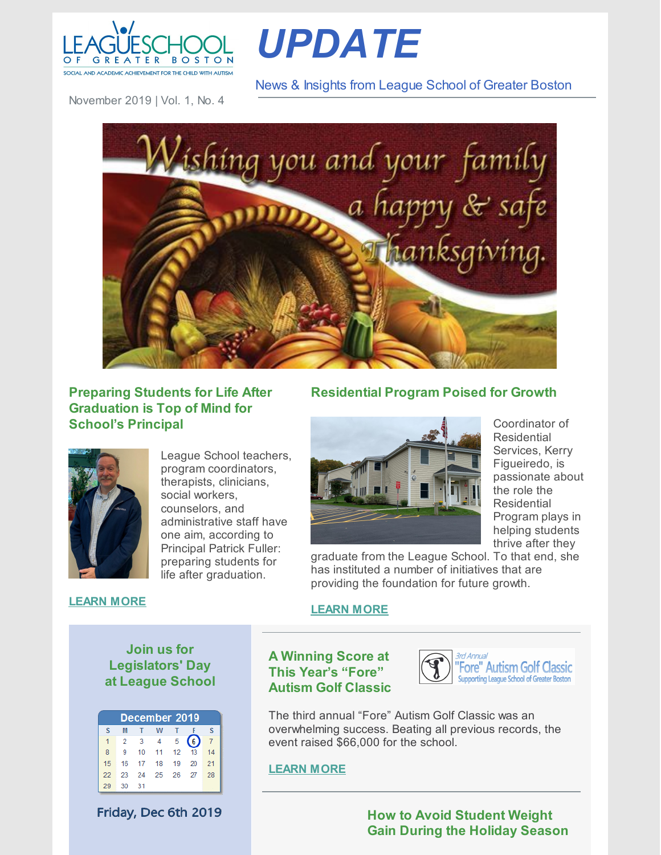

*UPDATE*

News & Insights from League School of Greater Boston

November 2019 | Vol. 1, No. 4



## **Preparing Students for Life After Graduation is Top of Mind for School's Principal**



League School teachers, program coordinators, therapists, clinicians, social workers, counselors, and administrative staff have one aim, according to Principal Patrick Fuller: preparing students for life after graduation.

# **Residential Program Poised for Growth**



Coordinator of Residential Services, Kerry Figueiredo, is passionate about the role the **Residential** Program plays in helping students thrive after they

graduate from the League School. To that end, she has instituted a number of initiatives that are providing the foundation for future growth.

#### **[LEARN](https://leagueschool.org/preparing-students-for-life-after-graduation-is-top-of-mind-for-schools-principal/) MORE**

#### **[LEARN](https://leagueschool.org/residential-program-poised-for-growth/) MORE**

# **Join us for Legislators' Day at League School**

| December 2019 |    |                         |      |                  |    |    |
|---------------|----|-------------------------|------|------------------|----|----|
| s             | M  | т                       | w    |                  |    | s  |
| 1             | 2  | $\overline{\mathbf{3}}$ | 4    | 5                | 6  |    |
| 8             | 9  | 10                      | 11   | 12 <sup>12</sup> | 13 | 14 |
| 15            | 16 | 17                      | - 18 | 19               | 20 | 21 |
| 22            | 23 | 24                      | - 25 | 26               | 27 | 28 |
| 29            | 30 | -31                     |      |                  |    |    |

Friday, Dec 6th 2019

## **A Winning Score at This Year's "Fore" Autism Golf Classic**



The third annual "Fore" Autism Golf Classic was an overwhelming success. Beating all previous records, the event raised \$66,000 for the school.

#### **[LEARN](https://leagueschool.org/a-winning-score-at-this-years-fore-autism-golf-classic/) MORE**

**How to Avoid Student Weight Gain During the Holiday Season**